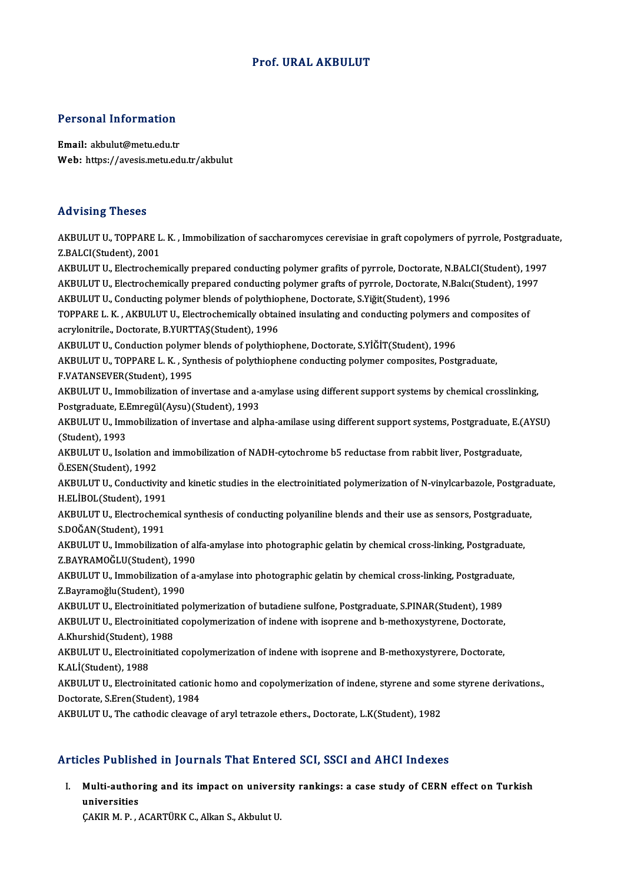# Prof. URAL AKBULUT

# Personal Information

Personal Information<br>Email: akbulut@metu.edu.tr<br>Web: https://avasis.metu.edi Email: akbulut@metu.edu.tr<br>Web: https://avesis.metu.edu.tr/akbulut

# Advising Theses

Advising Theses<br>AKBULUT U., TOPPARE L. K. , Immobilization of saccharomyces cerevisiae in graft copolymers of pyrrole, Postgraduate,<br>7 PALCI(Student), 2001 XXX YOMIS YNOOCO<br>AKBULUT U., TOPPARE L<br>Z.BALCI(Student), 2001<br>AKBULUT U. Electrecher AKBULUT U., TOPPARE L. K. , Immobilization of saccharomyces cerevisiae in graft copolymers of pyrrole, Postgradua<br>Z.BALCI(Student), 2001<br>AKBULUT U., Electrochemically prepared conducting polymer grafits of pyrrole, Doctora Z.BALCI(Student), 2001<br>AKBULUT U., Electrochemically prepared conducting polymer grafits of pyrrole, Doctorate, N.BALCI(Student), 199<br>AKBULUT U., Electrochemically prepared conducting polymer grafts of pyrrole, Doctorate, AKBULUT U., Electrochemically prepared conducting polymer grafits of pyrrole, Doctorate, N.<br>AKBULUT U., Electrochemically prepared conducting polymer grafts of pyrrole, Doctorate, N.I<br>AKBULUT U., Conducting polymer blends AKBULUT U., Electrochemically prepared conducting polymer grafts of pyrrole, Doctorate, N.Balcı(Student), 1997<br>AKBULUT U., Conducting polymer blends of polythiophene, Doctorate, S.Yiğit(Student), 1996<br>TOPPARE L. K. , AKBUL AKBULUT U., Conducting polymer blends of polythiophene, Doctorate, S.Yiğit(Student), 1996<br>TOPPARE L. K. , AKBULUT U., Electrochemically obtained insulating and conducting polymers a<br>acrylonitrile., Doctorate, B.YURTTAŞ(Stu TOPPARE L. K., AKBULUT U., Electrochemically obtained insulating and conducting polymers and composites of acrylonitrile., Doctorate, B.YURTTAŞ(Student), 1996<br>AKBULUT U., Conduction polymer blends of polythiophene, Doctorate, S.YİĞİT(Student), 1996<br>AKBULUT U., TOPPARE L. K. , Synthesis of polythiophene conducting polymer compos AKBULUT U., Conduction polyme<br>AKBULUT U., TOPPARE L. K. , Syr<br>F.VATANSEVER(Student), 1995<br>AKBULUT U. Immobilization of i AKBULUT U., TOPPARE L. K. , Synthesis of polythiophene conducting polymer composites, Postgraduate,<br>F.VATANSEVER(Student), 1995<br>AKBULUT U., Immobilization of invertase and a-amylase using different support systems by chemi F.VATANSEVER(Student), 1995<br>AKBULUT U., Immobilization of invertase and a-a<br>Postgraduate, E.Emregül(Aysu)(Student), 1993<br>AKBULUT U. Immobilization of invertage and alt AKBULUT U., Immobilization of invertase and a-amylase using different support systems by chemical crosslinking,<br>Postgraduate, E.Emregül(Aysu)(Student), 1993<br>AKBULUT U., Immobilization of invertase and alpha-amilase using d Postgraduate, E.I<br>AKBULUT U., Imr<br>(Student), 1993<br>AKBULUT U. Jeel AKBULUT U., Immobilization of invertase and alpha-amilase using different support systems, Postgraduate, E.(<br>(Student), 1993<br>AKBULUT U., Isolation and immobilization of NADH-cytochrome b5 reductase from rabbit liver, Postg (Student), 1993<br>AKBULUT U., Isolation and immobilization of NADH-cytochrome b5 reductase from rabbit liver, Postgraduate,<br>Ö.ESEN(Student). 1992 AKBULUT U., Isolation and immobilization of NADH-cytochrome b5 reductase from rabbit liver, Postgraduate,<br>Ö.ESEN(Student), 1992<br>AKBULUT U., Conductivity and kinetic studies in the electroinitiated polymerization of N-vinyl Ö.ESEN(Student), 1992<br>AKBULUT U., Conductivity<br>H.ELİBOL(Student), 1991<br>AKBULUT U. Electrochemi AKBULUT U., Conductivity and kinetic studies in the electroinitiated polymerization of N-vinylcarbazole, Postgrad<br>H.ELİBOL(Student), 1991<br>AKBULUT U., Electrochemical synthesis of conducting polyaniline blends and their use H.ELİBOL(Student), 1991<br>AKBULUT U., Electrochem<br>S.DOĞAN(Student), 1991<br>AKBULUT U. Immobilizati AKBULUT U., Electrochemical synthesis of conducting polyaniline blends and their use as sensors, Postgraduate<br>S.DOĞAN(Student), 1991<br>AKBULUT U., Immobilization of alfa-amylase into photographic gelatin by chemical cross-li S.DOĞAN(Student), 1991<br>AKBULUT U., Immobilization of al<br>Z.BAYRAMOĞLU(Student), 1990<br>AKBULUT U. Immobilization of a AKBULUT U., Immobilization of alfa-amylase into photographic gelatin by chemical cross-linking, Postgradua<sup>.</sup><br>Z.BAYRAMOĞLU(Student), 1990<br>AKBULUT U., Immobilization of a-amylase into photographic gelatin by chemical cross-Z.BAYRAMOĞLU(Student), 199<br>AKBULUT U., Immobilization of<br>Z.Bayramoğlu(Student), 1990<br>AKBULUT U. Electroinitisted p AKBULUT U., Immobilization of a-amylase into photographic gelatin by chemical cross-linking, Postgraduate<br>Z.Bayramoğlu(Student), 1990<br>AKBULUT U., Electroinitiated polymerization of butadiene sulfone, Postgraduate, S.PINAR( Z.Bayramoğlu(Student), 1990<br>AKBULUT U., Electroinitiated polymerization of butadiene sulfone, Postgraduate, S.PINAR(Student), 1989<br>AKBULUT U., Electroinitiated copolymerization of indene with isoprene and b-methoxystyrene, AKBULUT U., Electroinitiated polymerization of butadiene sulfone, Postgraduate, S.PINAR(Student), 1989<br>AKBULUT U., Electroinitiated copolymerization of indene with isoprene and b-methoxystyrene, Doctorate,<br>A.Khurshid(Stude AKBULUT U., Electroinitiated copolymerization of indene with isoprene and b-methoxystyrene, Doctorate,<br>A.Khurshid(Student), 1988<br>AKBULUT U., Electroinitiated copolymerization of indene with isoprene and B-methoxystyrere, D A.Khurshid(Student), 1988<br>AKBULUT U., Electroinitiate<br>K.ALİ(Student), 1988 AKBULUT U., Electroinitiated copolymerization of indene with isoprene and B-methoxystyrere, Doctorate,<br>K.ALİ(Student), 1988<br>AKBULUT U., Electroinitated cationic homo and copolymerization of indene, styrene and some styrene K.ALİ(Student), 1988<br>AKBULUT U., Electroinitated catior<br>Doctorate, S.Eren(Student), 1984<br>AKBULUT U. The cathodis sloavas AKBULUT U., Electroinitated cationic homo and copolymerization of indene, styrene and so:<br>Doctorate, S.Eren(Student), 1984<br>AKBULUT U., The cathodic cleavage of aryl tetrazole ethers., Doctorate, L.K(Student), 1982 ARBOLOT 0., The camouc cleavage of aryf tetrazole ethers., Doctorate, L.K(Student), 1982<br>Articles Published in Journals That Entered SCI, SSCI and AHCI Indexes

rticles Published in Journals That Entered SCI, SSCI and AHCI Indexes<br>I. Multi-authoring and its impact on university rankings: a case study of CERN effect on Turkish<br>wniversities universities<br>Multi-author<br>universities<br>CAVID M. D. Multi-authoring and its impact on univers<br>universities<br>ÇAKIR M. P. , ACARTÜRK C., Alkan S., Akbulut U.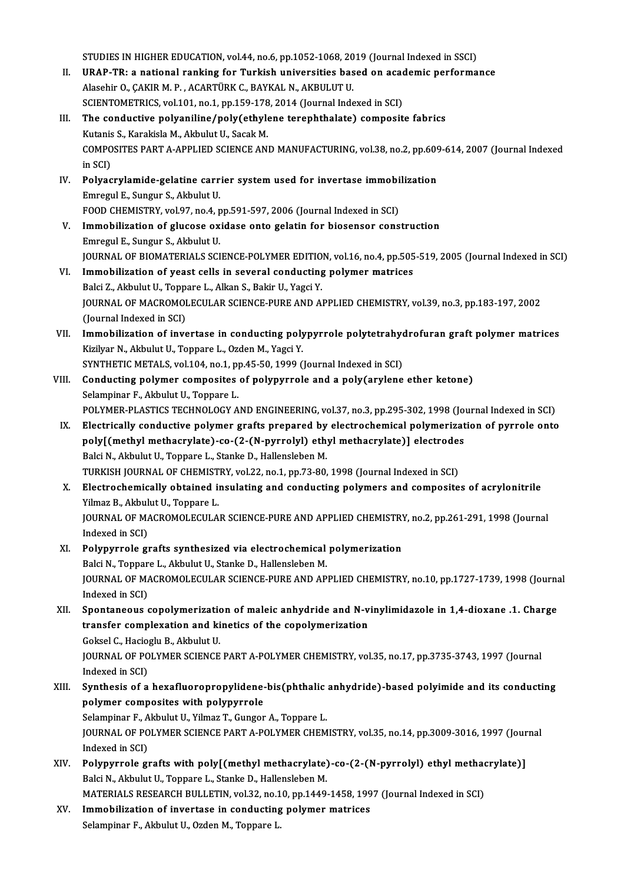STUDIES IN HIGHER EDUCATION, vol.44, no.6, pp.1052-1068, 2019 (Journal Indexed in SSCI)<br>UPAP TR: a national rapking for Turkish universities based on asademia performa

- STUDIES IN HIGHER EDUCATION, vol.44, no.6, pp.1052-1068, 2019 (Journal Indexed in SSCI)<br>II. URAP-TR: a national ranking for Turkish universities based on academic performance STUDIES IN HIGHER EDUCATION, vol.44, no.6, pp.1052-1068, 20<br>URAP-TR: a national ranking for Turkish universities bas<br>Alasehir O., ÇAKIR M. P. , ACARTÜRK C., BAYKAL N., AKBULUT U.<br>SCIENTOMETPICS vol.101, no.1, np.159, 178, URAP-TR: a national ranking for Turkish universities based on acade and the Scientifics, vol.101, no.1, pp.159-178, 2014 (Journal Indexed in SCI)<br>SCIENTOMETRICS, vol.101, no.1, pp.159-178, 2014 (Journal Indexed in SCI)<br>The Alasehir O., ÇAKIR M. P. , ACARTÜRK C., BAYKAL N., AKBULUT U.<br>SCIENTOMETRICS, vol.101, no.1, pp.159-178, 2014 (Journal Indexed in SCI)<br>III. The conductive polyaniline/poly(ethylene terephthalate) composite fabrics<br>Kutanis SCIENTOMETRICS, vol.101, no.1, pp.159-178, 2014 (Journal Indexed in SCI)
- The conductive polyaniline/poly(ethylene terephthalate) composite fabrics<br>Kutanis S., Karakisla M., Akbulut U., Sacak M.<br>COMPOSITES PART A-APPLIED SCIENCE AND MANUFACTURING, vol.38, no.2, pp.609-614, 2007 (Journal Indexed<br> Kutanis<br>COMPO<br>in SCI)<br>Polyas COMPOSITES PART A-APPLIED SCIENCE AND MANUFACTURING, vol.38, no.2, pp.609<br>in SCI)<br>IV. Polyacrylamide-gelatine carrier system used for invertase immobilization<br>Emperul E. Sungur S. Althulut II
- in SCI)<br>Pol<mark>yacrylamide-gelatine carr</mark><br>Emregul E., Sungur S., Akbulut U.<br>FOOD CHEMISTPY vel 97, ne 4, r Polyacrylamide-gelatine carrier system used for invertase immobi<br>Emregul E., Sungur S., Akbulut U.<br>FOOD CHEMISTRY, vol.97, no.4, pp.591-597, 2006 (Journal Indexed in SCI)<br>Immobilization of slugese exidese onte solatin for FOOD CHEMISTRY, vol.97, no.4, pp.591-597, 2006 (Journal Indexed in SCI)
- Emregul E., Sungur S., Akbulut U.<br>FOOD CHEMISTRY, vol.97, no.4, pp.591-597, 2006 (Journal Indexed in SCI)<br>V. Immobilization of glucose oxidase onto gelatin for biosensor construction<br>Emregul E., Sungur S., Akbulut U. Immobilization of glucose oxidase onto gelatin for biosensor construction<br>Emregul E., Sungur S., Akbulut U.<br>JOURNAL OF BIOMATERIALS SCIENCE-POLYMER EDITION, vol.16, no.4, pp.505-519, 2005 (Journal Indexed in SCI)<br>Immobiliz Emregul E., Sungur S., Akbulut U.<br>JOURNAL OF BIOMATERIALS SCIENCE-POLYMER EDITION, vol.16, no.4, pp.505<br>VI. Immobilization of yeast cells in several conducting polymer matrices<br>Raki Z. Akbulut U. Tonnare J. Alkan S. Bakin
- JOURNAL OF BIOMATERIALS SCIENCE-POLYMER EDITIO<br>Immobilization of yeast cells in several conducting<br>Balci Z., Akbulut U., Toppare L., Alkan S., Bakir U., Yagci Y.<br>JOURNAL OF MACROMOLECULAR SCIENCE BURE AND AL VI. Immobilization of yeast cells in several conducting polymer matrices<br>Balci Z., Akbulut U., Toppare L., Alkan S., Bakir U., Yagci Y.<br>JOURNAL OF MACROMOLECULAR SCIENCE-PURE AND APPLIED CHEMISTRY, vol.39, no.3, pp.183-197 Balci Z., Akbulut U., Toppare L., Alkan S., Bakir U., Yagci Y. JOURNAL OF MACROMOLECULAR SCIENCE-PURE AND APPLIED CHEMISTRY, vol.39, no.3, pp.183-197, 2002<br>(Journal Indexed in SCI)<br>VII. Immobilization of invertase in conducting polypyrrole polytetrahydrofuran graft polymer matrices<br>Vi
- Kizilyar N., Akbulut U., Toppare L., Ozden M., Yagci Y. Immobilization of invertase in conducting polypyrrole polytetrahyon<br>Kizilyar N., Akbulut U., Toppare L., Ozden M., Yagci Y.<br>SYNTHETIC METALS, vol.104, no.1, pp.45-50, 1999 (Journal Indexed in SCI)<br>Conducting polymer compos SYNTHETIC METALS, vol.104, no.1, pp.45-50, 1999 (Journal Indexed in SCI)
- VIII. Conducting polymer composites of polypyrrole and a poly(arylene ether ketone)<br>Selampinar F., Akbulut U., Toppare L. Conducting polymer composites of polypyrrole and a poly(arylene ether ketone)<br>Selampinar F., Akbulut U., Toppare L.<br>POLYMER-PLASTICS TECHNOLOGY AND ENGINEERING, vol.37, no.3, pp.295-302, 1998 (Journal Indexed in SCI)<br>Flast
- Selampinar F., Akbulut U., Toppare L.<br>POLYMER-PLASTICS TECHNOLOGY AND ENGINEERING, vol.37, no.3, pp.295-302, 1998 (Journal Indexed in SCI)<br>IX. Electrically conductive polymer grafts prepared by electrochemical polymerizati POLYMER-PLASTICS TECHNOLOGY AND ENGINEERING, vol.37, no.3, pp.295-302, 1998 (Journal polymerizat<br>Electrically conductive polymer grafts prepared by electrochemical polymerizat<br>poly[(methyl methacrylate)-co-(2-(N-pyrrolyl) IX. Electrically conductive polymer grafts prepared by electrochemical polymerization of pyrrole onto<br>poly[(methyl methacrylate)-co-(2-(N-pyrrolyl) ethyl methacrylate)] electrodes<br>Balci N., Akbulut U., Toppare L., Stanke D poly[(methyl methacrylate)-co-(2-(N-pyrrolyl) ethyl methacrylate)] electrodes Balci N., Akbulut U., Toppare L., Stanke D., Hallensleben M.<br>TURKISH JOURNAL OF CHEMISTRY, vol.22, no.1, pp.73-80, 1998 (Journal Indexed in SCI)<br>X. Electrochemically obtained insulating and conducting polymers and composit
- TURKISH JOURNAL OF CHEMIST<br>Electrochemically obtained in<br>Yilmaz B., Akbulut U., Toppare L.<br>JOURNAL OF MACROMOLECULA Electrochemically obtained insulating and conducting polymers and composites of acrylonitrile<br>Yilmaz B., Akbulut U., Toppare L.<br>JOURNAL OF MACROMOLECULAR SCIENCE-PURE AND APPLIED CHEMISTRY, no.2, pp.261-291, 1998 (Journal<br> Yilmaz B., Akbulut U., Toppare L.<br>JOURNAL OF MACROMOLECULAR SCIENCE-PURE AND APPLIED CHEMISTRY, no.2, pp.261-291, 1998 (Journal<br>Indexed in SCI) JOURNAL OF MACROMOLECULAR SCIENCE-PURE AND APPLIED CHEMISTRY<br>Indexed in SCI)<br>XI. Polypyrrole grafts synthesized via electrochemical polymerization<br>Boki N. Tennare J. Althulut U. Storke D. Hollanglabon M.
- Indexed in SCI)<br>Polypyrrole grafts synthesized via electrochemical<br>Balci N., Toppare L., Akbulut U., Stanke D., Hallensleben M.<br>JOUPMAL OF MACROMOLECULAR SCIENCE BURE AND AR Polypyrrole grafts synthesized via electrochemical polymerization<br>Balci N., Toppare L., Akbulut U., Stanke D., Hallensleben M.<br>JOURNAL OF MACROMOLECULAR SCIENCE-PURE AND APPLIED CHEMISTRY, no.10, pp.1727-1739, 1998 (Journa Balci N., Toppar<br>JOURNAL OF MA<br>Indexed in SCI)<br>Spontanoous JOURNAL OF MACROMOLECULAR SCIENCE-PURE AND APPLIED CHEMISTRY, no.10, pp.1727-1739, 1998 (Journal<br>Indexed in SCI)<br>XII. Spontaneous copolymerization of maleic anhydride and N-vinylimidazole in 1,4-dioxane .1. Charge<br>transfor
- Indexed in SCI)<br>Spontaneous copolymerization of maleic anhydride and N-v<br>transfer complexation and kinetics of the copolymerization<br>Cokeel C. Hasiasly B. Akbulut II Spontaneous copolymerization<br>transfer complexation and ki<br>Goksel C., Hacioglu B., Akbulut U.<br>JOUPNAL OF POLYMER SCIENCE Goksel C., Hacioglu B., Akbulut U.

JOURNAL OF POLYMER SCIENCE PART A-POLYMER CHEMISTRY, vol.35, no.17, pp.3735-3743, 1997 (Journal Indexed in SCI) JOURNAL OF POLYMER SCIENCE PART A-POLYMER CHEMISTRY, vol.35, no.17, pp.3735-3743, 1997 (Journal<br>Indexed in SCI)<br>XIII. Synthesis of a hexafluoropropylidene-bis(phthalic anhydride)-based polyimide and its conducting<br>nolymer

Indexed in SCI)<br>Synthesis of a hexafluoropropylidene-<br>polymer composites with polypyrrole<br>Selemninar E. Althulut II, Vilmer T. Cunger Synthesis of a hexafluoropropylidene-bis(phthalic<br>polymer composites with polypyrrole<br>Selampinar F., Akbulut U., Yilmaz T., Gungor A., Toppare L.<br>JOUPMAL OF POLYMER SCIENCE RART A POLYMER CHEM

polymer composites with polypyrrole<br>Selampinar F., Akbulut U., Yilmaz T., Gungor A., Toppare L.<br>JOURNAL OF POLYMER SCIENCE PART A-POLYMER CHEMISTRY, vol.35, no.14, pp.3009-3016, 1997 (Journal<br>Indexed in SCI) Selampinar F., Akbulut U., Yilmaz T., Gungor A., Toppare L. JOURNAL OF POLYMER SCIENCE PART A-POLYMER CHEMISTRY, vol.35, no.14, pp.3009-3016, 1997 (Jour<br>Indexed in SCI)<br>XIV. Polypyrrole grafts with poly[(methyl methacrylate)-co-(2-(N-pyrrolyl) ethyl methacrylate)]<br>Polsi N. Althulut

- Indexed in SCI)<br>Polypyrrole grafts with poly[(methyl methacrylate)<br>Balci N., Akbulut U., Toppare L., Stanke D., Hallensleben M.<br>MATERIALS RESEARCH RULLETIN, vol 22, no 10, nn 1449 Polypyrrole grafts with poly[(methyl methacrylate)-co-(2-(N-pyrrolyl) ethyl methac<br>Balci N., Akbulut U., Toppare L., Stanke D., Hallensleben M.<br>MATERIALS RESEARCH BULLETIN, vol.32, no.10, pp.1449-1458, 1997 (Journal Indexe
- Balci N., Akbulut U., Toppare L., Stanke D., Hallensleben M.<br>MATERIALS RESEARCH BULLETIN, vol.32, no.10, pp.1449-1458, 199<br>XV. Immobilization of invertase in conducting polymer matrices<br>Selemnings E. Althulut II. Orden M. MATERIALS RESEARCH BULLETIN, vol.32, no.1<br>I<mark>mmobilization of invertase in conducting</mark><br>Selampinar F., Akbulut U., Ozden M., Toppare L.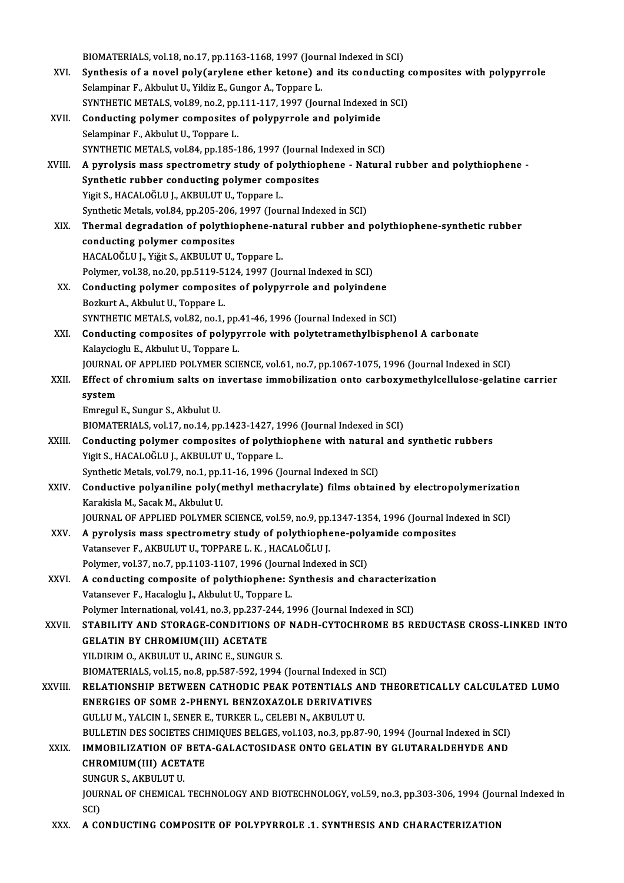BIOMATERIALS, vol.18, no.17, pp.1163-1168, 1997 (Journal Indexed in SCI)<br>Synthesis of a novel nely(awlene ether ketene) and its conducting BIOMATERIALS, vol.18, no.17, pp.1163-1168, 1997 (Journal Indexed in SCI)<br>XVI. Synthesis of a novel poly(arylene ether ketone) and its conducting composites with polypyrrole BIOMATERIALS, vol.18, no.17, pp.1163-1168, 1997 (Jour<br>Synthesis of a novel poly (arylene ether ketone) an<br>Selampinar F., Akbulut U., Yildiz E., Gungor A., Toppare L. Synthesis of a novel poly(arylene ether ketone) and its conducting of Selampinar F., Akbulut U., Yildiz E., Gungor A., Toppare L.<br>SYNTHETIC METALS, vol.89, no.2, pp.111-117, 1997 (Journal Indexed in SCI)<br>Conducting polymer Selampinar F., Akbulut U., Yildiz E., Gungor A., Toppare L.<br>SYNTHETIC METALS, vol.89, no.2, pp.111-117, 1997 (Journal Indexed i<br>XVII. Conducting polymer composites of polypyrrole and polyimide<br>Selampinar F., Akbulut U., To SYNTHETIC METALS, vol.89, no.2, pp.111-117, 1997 (Journal Indexed in SCI) Conducting polymer composites of polypyrrole and polyimide<br>Selampinar F., Akbulut U., Toppare L.<br>SYNTHETIC METALS, vol.84, pp.185-186, 1997 (Journal Indexed in SCI)<br>A nurolygis mass spectrometry study of polythiophane - Na XVIII. A pyrolysis mass spectrometry study of polythiophene - Natural rubber and polythiophene -<br>Synthetic rubber conducting polymer composites SYNTHETIC METALS, vol.84, pp.185-186, 1997 (Journal)<br>A pyrolysis mass spectrometry study of polythiop<br>Synthetic rubber conducting polymer composites<br>Vigit S. HACALOČLU LAKPULUTU Tennere L Yigit S., HACALOĞLU J., AKBULUT U., Toppare L. Synthetic rubber conducting polymer composites<br>Yigit S., HACALOĞLU J., AKBULUT U., Toppare L.<br>Synthetic Metals, vol.84, pp.205-206, 1997 (Journal Indexed in SCI)<br>Thermal degradation of noluthiophene natural rubber and XIX. Thermal degradation of polythiophene-natural rubber and polythiophene-synthetic rubber Synthetic Metals, vol.84, pp.205-206,<br>Thermal degradation of polythic<br>conducting polymer composites<br>HACALOČLUJ, Vičit S. AVPULUTU HACALOĞLU J., Yiğit S., AKBULUT U., Toppare L. conducting polymer composites<br>HACALOĞLU J., Yiğit S., AKBULUT U., Toppare L.<br>Polymer, vol.38, no.20, pp.5119-5124, 1997 (Journal Indexed in SCI)<br>Conducting polymer composites of polynyruals and polyinde XX. Conducting polymer composites of polypyrrole and polyindene<br>Bozkurt A., Akbulut U., Toppare L. Polymer, vol.38, no.20, pp.5119-5<br>**Conducting polymer composit**<br>Bozkurt A., Akbulut U., Toppare L.<br>SYNTUETIC METALS, vol.92, no.1 SYNTHETIC METALS, vol.82, no.1, pp.41-46, 1996 (Journal Indexed in SCI) Bozkurt A., Akbulut U., Toppare L.<br>SYNTHETIC METALS, vol.82, no.1, pp.41-46, 1996 (Journal Indexed in SCI)<br>XXI. Conducting composites of polypyrrole with polytetramethylbisphenol A carbonate<br>Kelevgisch: E. Althulut II. Top SYNTHETIC METALS, vol.82, no.1, pp.<br>Conducting composites of polypy<br>Kalaycioglu E., Akbulut U., Toppare L.<br>JOUPNAL OF APPLIED POLYMED SCU Conducting composites of polypyrrole with polytetramethylbisphenol A carbonate<br>Kalaycioglu E., Akbulut U., Toppare L.<br>JOURNAL OF APPLIED POLYMER SCIENCE, vol.61, no.7, pp.1067-1075, 1996 (Journal Indexed in SCI)<br>Effect of Kalaycioglu E., Akbulut U., Toppare L.<br>JOURNAL OF APPLIED POLYMER SCIENCE, vol.61, no.7, pp.1067-1075, 1996 (Journal Indexed in SCI)<br>XXII. Effect of chromium salts on invertase immobilization onto carboxymethylcellulose-ge **JOURNAL**<br>Effect of<br>system<br>Emroqul Emregul E., Sungur S., Akbulut U. system<br>Emregul E., Sungur S., Akbulut U.<br>BIOMATERIALS, vol.17, no.14, pp.1423-1427, 1996 (Journal Indexed in SCI)<br>Conducting polymer, composites of polythiophone with potural and Emregul E., Sungur S., Akbulut U.<br>BIOMATERIALS, vol.17, no.14, pp.1423-1427, 1996 (Journal Indexed in SCI)<br>XXIII. Conducting polymer composites of polythiophene with natural and synthetic rubbers<br>Vigit S. HACALOČLU LAKRULU BIOMATERIALS, vol.17, no.14, pp.1423-1427, 19<br>Conducting polymer composites of polythi<br>Yigit S., HACALOĞLU J., AKBULUT U., Toppare L. Conducting polymer composites of polythiophene with natura<br>Yigit S., HACALOĞLU J., AKBULUT U., Toppare L.<br>Synthetic Metals, vol.79, no.1, pp.11-16, 1996 (Journal Indexed in SCI)<br>Conductive polygpiline poly(methyl methogyul Yigit S., HACALOĞLU J., AKBULUT U., Toppare L.<br>Synthetic Metals, vol.79, no.1, pp.11-16, 1996 (Journal Indexed in SCI)<br>XXIV. Conductive polyaniline poly(methyl methacrylate) films obtained by electropolymerization<br>Kara Synthetic Metals, vol.79, no.1, pp.:<br>Conductive polyaniline poly (1<br>Karakisla M., Sacak M., Akbulut U.<br>JOUPMAL OF APPLIED POLYMEP. Conductive polyaniline poly(methyl methacrylate) films obtained by electropolymerizatio<br>Karakisla M., Sacak M., Akbulut U.<br>JOURNAL OF APPLIED POLYMER SCIENCE, vol.59, no.9, pp.1347-1354, 1996 (Journal Indexed in SCI)<br>A nur Karakisla M., Sacak M., Akbulut U.<br>JOURNAL OF APPLIED POLYMER SCIENCE, vol.59, no.9, pp.1347-1354, 1996 (Journal Ind<br>XXV. A pyrolysis mass spectrometry study of polythiophene-polyamide composites<br>Votanssuer E. AKPULUT U. T JOURNAL OF APPLIED POLYMER SCIENCE, vol.59, no.9, pp.<br>A pyrolysis mass spectrometry study of polythiophe<br>Vatansever F., AKBULUT U., TOPPARE L. K. , HACALOĞLU J.<br>Polymar vol.37, no.7, np.1103,1107,1996 (Journal Indove A pyrolysis mass spectrometry study of polythiophene-poly<br>Vatansever F., AKBULUT U., TOPPARE L. K. , HACALOĞLU J.<br>Polymer, vol.37, no.7, pp.1103-1107, 1996 (Journal Indexed in SCI)<br>A sendusting sempesite of polythiophenes Vatansever F., AKBULUT U., TOPPARE L. K., HACALOĞLU J.<br>Polymer, vol.37, no.7, pp.1103-1107, 1996 (Journal Indexed in SCI)<br>XXVI. A conducting composite of polythiophene: Synthesis and characterization<br>Vetansever E. Haselesk Polymer, vol.37, no.7, pp.1103-1107, 1996 (Journ<br>A conducting composite of polythiophene: S<br>Vatansever F., Hacaloglu J., Akbulut U., Toppare L.<br>Polymer International vol.41, no.3, nn.337, 344, 14 A conducting composite of polythiophene: Synthesis and characteriza<br>Vatansever F., Hacaloglu J., Akbulut U., Toppare L.<br>Polymer International, vol.41, no.3, pp.237-244, 1996 (Journal Indexed in SCI)<br>STARU ITV AND STORACE C Vatansever F., Hacaloglu J., Akbulut U., Toppare L.<br>Polymer International, vol.41, no.3, pp.237-244, 1996 (Journal Indexed in SCI)<br>XXVII. STABILITY AND STORAGE-CONDITIONS OF NADH-CYTOCHROME B5 REDUCTASE CROSS-LINKED IN Polymer International, vol.41, no.3, pp.237-2<br>STABILITY AND STORAGE-CONDITIONS<br>GELATIN BY CHROMIUM(III) ACETATE<br>VILDIBIM O AKPULUTIL ABING E SUNCUL STABILITY AND STORAGE-CONDITIONS OF<br>GELATIN BY CHROMIUM(III) ACETATE<br>YILDIRIM O., AKBULUT U., ARINC E., SUNGUR S.<br>PIOMATEPIALS vol.15, no.9, np.597,592,1994. GELATIN BY CHROMIUM(III) ACETATE<br>YILDIRIM O., AKBULUT U., ARINC E., SUNGUR S.<br>BIOMATERIALS, vol.15, no.8, pp.587-592, 1994 (Journal Indexed in SCI)<br>PELATIONSHIP PETWEEN CATHODIC PEAK POTENTIALS AND TI YILDIRIM O., AKBULUT U., ARINC E., SUNGUR S.<br>BIOMATERIALS, vol.15, no.8, pp.587-592, 1994 (Journal Indexed in SCI)<br>XXVIII. RELATIONSHIP BETWEEN CATHODIC PEAK POTENTIALS AND THEORETICALLY CALCULATED LUMO<br>ENERGIES OF SOM BIOMATERIALS, vol.15, no.8, pp.587-592, 1994 (Journal Indexed in S<br>RELATIONSHIP BETWEEN CATHODIC PEAK POTENTIALS AND<br>ENERGIES OF SOME 2-PHENYL BENZOXAZOLE DERIVATIVES<br>CULLUM YALCIN L SENER E TURKER L CELERLN AKRULUT U GULLUM.,YALCINI.,SENERE.,TURKERL.,CELEBIN.,AKBULUTU. BULLETIN DES SOCIETES CHIMIOUES BELGES, vol.103, no.3, pp.87-90, 1994 (Journal Indexed in SCI) GULLU M., YALCIN I., SENER E., TURKER L., CELEBI N., AKBULUT U.<br>BULLETIN DES SOCIETES CHIMIQUES BELGES, vol.103, no.3, pp.87-90, 1994 (Journal Indexed in SCI)<br>XXIX. IMMOBILIZATION OF BETA-GALACTOSIDASE ONTO GELATIN BY GLUT BULLETIN DES SOCIETES CHI<br>IMMOBILIZATION OF BET*I*<br>CHROMIUM(III) ACETATE<br>SUNCUB S. A*V*EULUT U **IMMOBILIZATION OF<br>CHROMIUM(III) ACET<br>SUNGUR S., AKBULUT U.<br>JOUPNAL OF CHEMICAL** CHROMIUM(III) ACETATE<br>SUNGUR S., AKBULUT U.<br>JOURNAL OF CHEMICAL TECHNOLOGY AND BIOTECHNOLOGY, vol.59, no.3, pp.303-306, 1994 (Journal Indexed in<br>SCI) SUNGUR S. AKBULUT U XXX. A CONDUCTING COMPOSITE OF POLYPYRROLE .1. SYNTHESIS AND CHARACTERIZATION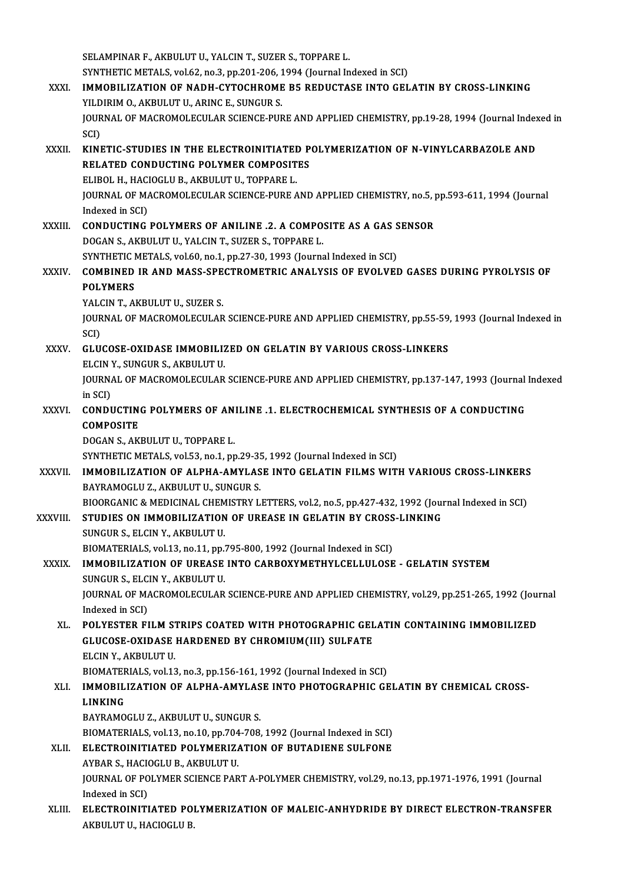SELAMPINAR F., AKBULUT U., YALCIN T., SUZER S., TOPPARE L. SYNTHETIC METALS, vol.62, no.3, pp.201-206, 1994 (Journal Indexed in SCI) SELAMPINAR F., AKBULUT U., YALCIN T., SUZER S., TOPPARE L.<br>SYNTHETIC METALS, vol.62, no.3, pp.201-206, 1994 (Journal Indexed in SCI)<br>XXXI. IMMOBILIZATION OF NADH-CYTOCHROME B5 REDUCTASE INTO GELATIN BY CROSS-LINKING<br>VILDIB SYNTHETIC METALS, vol.62, no.3, pp.201-206, 1<br>IMMOBILIZATION OF NADH-CYTOCHROME<br>YILDIRIM O., AKBULUT U., ARINC E., SUNGUR S.<br>JOUPNAL OF MACPOMOLECULAR SCIENCE PUL IMMOBILIZATION OF NADH-CYTOCHROME B5 REDUCTASE INTO GELATIN BY CROSS-LINKING<br>YILDIRIM O., AKBULUT U., ARINC E., SUNGUR S.<br>JOURNAL OF MACROMOLECULAR SCIENCE-PURE AND APPLIED CHEMISTRY, pp.19-28, 1994 (Journal Indexed in<br>SCD YILD<br>JOUR<br>SCI)<br>KINI JOURNAL OF MACROMOLECULAR SCIENCE-PURE AND APPLIED CHEMISTRY, pp.19-28, 1994 (Journal Index<br>SCI)<br>XXXII. KINETIC-STUDIES IN THE ELECTROINITIATED POLYMERIZATION OF N-VINYLCARBAZOLE AND SCI)<br>KINETIC-STUDIES IN THE ELECTROINITIATED P<br>RELATED CONDUCTING POLYMER COMPOSITES<br>FLIBOL H. HACIOCLU R. AKBULUT U. TORRARE L KINETIC-STUDIES IN THE ELECTROINITIATEI<br>RELATED CONDUCTING POLYMER COMPOSIT<br>ELIBOL H., HACIOGLU B., AKBULUT U., TOPPARE L.<br>JOUPMAL OF MACPOMOLECULAP SCIENCE PUPE A RELATED CONDUCTING POLYMER COMPOSITES<br>ELIBOL H., HACIOGLU B., AKBULUT U., TOPPARE L.<br>JOURNAL OF MACROMOLECULAR SCIENCE-PURE AND APPLIED CHEMISTRY, no.5, pp.593-611, 1994 (Journal<br>Indoved in SCD. ELIBOL H., HAC<br>JOURNAL OF MA<br>Indexed in SCI)<br>CONDUCTINC JOURNAL OF MACROMOLECULAR SCIENCE-PURE AND APPLIED CHEMISTRY, no.5, I<br>Indexed in SCI)<br>XXXIII. CONDUCTING POLYMERS OF ANILINE .2. A COMPOSITE AS A GAS SENSOR<br>DOCAN S. AVBULUTU VALCINT SUZER S. TORRARE I Indexed in SCI)<br>CONDUCTING POLYMERS OF ANILINE .2. A COMPO:<br>DOGAN S., AKBULUT U., YALCIN T., SUZER S., TOPPARE L.<br>SYNTHETIC METALS .vol.60, no.1, np.27, 20, 1992 (Journe CONDUCTING POLYMERS OF ANILINE .2. A COMPOSITE AS A GAS S<br>DOGAN S., AKBULUT U., YALCIN T., SUZER S., TOPPARE L.<br>SYNTHETIC METALS, vol.60, no.1, pp.27-30, 1993 (Journal Indexed in SCI)<br>COMBINED IR AND MASS SRECTROMETRIC ANA DOGAN S., AKBULUT U., YALCIN T., SUZER S., TOPPARE L.<br>SYNTHETIC METALS, vol.60, no.1, pp.27-30, 1993 (Journal Indexed in SCI)<br>XXXIV. COMBINED IR AND MASS-SPECTROMETRIC ANALYSIS OF EVOLVED GASES DURING PYROLYSIS OF<br>POLY SYNTHETIC I<br>COMBINED<br>POLYMERS<br>YALCIN T. AL COMBINED IR AND MASS-SPE<br>POLYMERS<br>YALCIN T., AKBULUT U., SUZER S.<br>JOUPMAL OF MACROMOLECULAR POLYMERS<br>YALCIN T., AKBULUT U., SUZER S.<br>JOURNAL OF MACROMOLECULAR SCIENCE-PURE AND APPLIED CHEMISTRY, pp.55-59, 1993 (Journal Indexed in<br>SCI) YALCIN T., AKBULUT U., SUZER S. JOURNAL OF MACROMOLECULAR SCIENCE-PURE AND APPLIED CHEMISTRY, pp.55-59.<br>SCI)<br>XXXV. GLUCOSE-OXIDASE IMMOBILIZED ON GELATIN BY VARIOUS CROSS-LINKERS<br>FLCIN Y SUNCUR S AKPULUT U SCI)<br>GLUCOSE-OXIDASE IMMOBILIZ<br>ELCIN Y., SUNGUR S., AKBULUT U.<br>JOUPNAL OF MACPOMOLECIJI AP. JOURNAL OF MACROMOLECULAR SCIENCE-PURE AND APPLIED CHEMISTRY, pp.137-147, 1993 (Journal Indexed<br>in SCI) ELCIN Y., SUNGUR S., AKBULUT U. JOURNAL OF MACROMOLECULAR SCIENCE-PURE AND APPLIED CHEMISTRY, pp.137-147, 1993 (Journal<br>in SCI)<br>XXXVI. CONDUCTING POLYMERS OF ANILINE .1. ELECTROCHEMICAL SYNTHESIS OF A CONDUCTING<br>COMPOSITE in SCI)<br>CONDUCTIN<br>COMPOSITE<br>DOCAN S. AK **CONDUCTING POLYMERS OF AN.<br>COMPOSITE<br>DOGAN S., AKBULUT U., TOPPARE L.<br>SYNTHETIC METALS .vol 52, no 1, nn** COMPOSITE<br>DOGAN S., AKBULUT U., TOPPARE L.<br>SYNTHETIC METALS, vol.53, no.1, pp.29-35, 1992 (Journal Indexed in SCI)<br>IMMORIL IZATION OF ALPHA AMVLASE INTO CELATIN ELLMS WITI DOGAN S., AKBULUT U., TOPPARE L.<br>SYNTHETIC METALS, vol.53, no.1, pp.29-35, 1992 (Journal Indexed in SCI)<br>XXXVII. IMMOBILIZATION OF ALPHA-AMYLASE INTO GELATIN FILMS WITH VARIOUS CROSS-LINKERS<br>BAYRAMOGLU Z., AKBULUT U., SUNG SYNTHETIC METALS, vol.53, no.1, pp.29-3!<br>IMMOBILIZATION OF ALPHA-AMYLAS<br>BAYRAMOGLU Z., AKBULUT U., SUNGUR S.<br>PIOORCANIC & MEDICINAL CHEMISTRY I IMMOBILIZATION OF ALPHA-AMYLASE INTO GELATIN FILMS WITH VARIOUS CROSS-LINKERS<br>BAYRAMOGLU Z., AKBULUT U., SUNGUR S.<br>BIOORGANIC & MEDICINAL CHEMISTRY LETTERS, vol.2, no.5, pp.427-432, 1992 (Journal Indexed in SCI)<br>STUDIES ON BAYRAMOGLU Z., AKBULUT U., SUNGUR S.<br>BIOORGANIC & MEDICINAL CHEMISTRY LETTERS, vol.2, no.5, pp.427-432, 1992 (Jour<br>XXXVIII. STUDIES ON IMMOBILIZATION OF UREASE IN GELATIN BY CROSS-LINKING<br>SUNCUR S. ELGIN V. AKBULUT U. BIOORGANIC & MEDICINAL CHEM<br>STUDIES ON IMMOBILIZATION<br>SUNGUR S., ELCIN Y., AKBULUT U.<br>PIOMATERIALS vol.13, no.11, nn. STUDIES ON IMMOBILIZATION OF UREASE IN GELATIN BY CROSS-LINKING<br>SUNGUR S., ELCIN Y., AKBULUT U.<br>BIOMATERIALS, vol.13, no.11, pp.795-800, 1992 (Journal Indexed in SCI) XXXIX. IMMOBILIZATION OF UREASE INTO CARBOXYMETHYLCELLULOSE - GELATIN SYSTEM BIOMATERIALS, vol.13, no.11, pp.<br>IMMOBILIZATION OF UREASE<br>SUNGUR S., ELCIN Y., AKBULUT U.<br>JOUPNAL OF MACPOMOLECIU AP. JOURNAL OF MACROMOLECULAR SCIENCE-PURE AND APPLIED CHEMISTRY, vol.29, pp.251-265, 1992 (Journal Indexed in SCI) SUNGUR S., ELC<br>JOURNAL OF MA<br>Indexed in SCI)<br>POI VESTED EI JOURNAL OF MACROMOLECULAR SCIENCE-PURE AND APPLIED CHEMISTRY, vol.29, pp.251-265, 1992 (Journal Indexed in SCI)<br>XL. POLYESTER FILM STRIPS COATED WITH PHOTOGRAPHIC GELATIN CONTAINING IMMOBILIZED<br>CLUCOSE OVIDASE HAPDENED BY Indexed in SCI)<br>POLYESTER FILM STRIPS COATED WITH PHOTOGRAPHIC GEL<br>GLUCOSE-OXIDASE HARDENED BY CHROMIUM(III) SULFATE<br>ELCIN X. AKRULUT U POLYESTER FILM ST<br>GLUCOSE-OXIDASE<br>ELCIN Y., AKBULUT U.<br>PIOMATEPIALS vol.13 GLUCOSE-OXIDASE HARDENED BY CHROMIUM(III) SULFATE<br>ELCIN Y., AKBULUT U.<br>BIOMATERIALS, vol.13, no.3, pp.156-161, 1992 (Journal Indexed in SCI)<br>IMMORILIZATION OF ALBHA AMYLASE INTO BHOTOCRABHIC CE ELCIN Y., AKBULUT U.<br>BIOMATERIALS, vol.13, no.3, pp.156-161, 1992 (Journal Indexed in SCI)<br>XLI. IMMOBILIZATION OF ALPHA-AMYLASE INTO PHOTOGRAPHIC GELATIN BY CHEMICAL CROSS-BIOMATER<br>I<mark>MMOBIL</mark><br>LINKING<br>PAVPAMO IMMOBILIZATION OF ALPHA-AMYLAS<br>LINKING<br>BAYRAMOGLU Z., AKBULUT U., SUNGUR S.<br>PIOMATEPIALS. vol.12, no.10, nn.704,709. LINKING<br>BAYRAMOGLU Z., AKBULUT U., SUNGUR S.<br>BIOMATERIALS, vol.13, no.10, pp.704-708, 1992 (Journal Indexed in SCI) XLII. ELECTROINITIATED POLYMERIZATION OF BUTADIENE SULFONE BIOMATERIALS, vol.13, no.10, pp.704<br>ELECTROINITIATED POLYMERIZ/<br>AYBAR S., HACIOGLU B., AKBULUT U.<br>JOUPNAL OF POLYMER SCIENCE BAR JOURNAL OF POLYMER SCIENCE PART A-POLYMER CHEMISTRY, vol.29, no.13, pp.1971-1976, 1991 (Journal Indexed in SCI) AYBAR S., HACION<br>JOURNAL OF PO<br>Indexed in SCI)<br>ELECTROINITI JOURNAL OF POLYMER SCIENCE PART A-POLYMER CHEMISTRY, vol.29, no.13, pp.1971-1976, 1991 (Journal Indexed in SCI)<br>XLIII. ELECTROINITIATED POLYMERIZATION OF MALEIC-ANHYDRIDE BY DIRECT ELECTRON-TRANSFER<br>AEPIU UT U. HACIOCUU P Indexed in SCI)<br><mark>ELECTROINITIATED PO</mark>I<br>AKBULUT U., HACIOGLU B.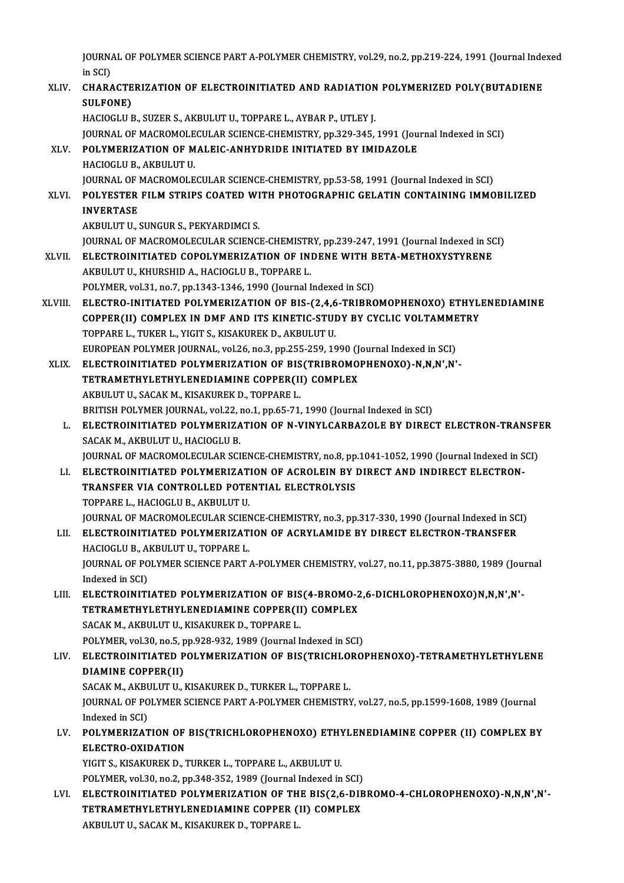JOURNAL OF POLYMER SCIENCE PART A-POLYMER CHEMISTRY, vol.29, no.2, pp.219-224, 1991 (Journal Indexed<br>in SCD **j**OURN<sub>4</sub><br>in SCI)<br>CHARA

JOURNAL OF POLYMER SCIENCE PART A-POLYMER CHEMISTRY, vol.29, no.2, pp.219-224, 1991 (Journal Inde<br>in SCI)<br>XLIV. CHARACTERIZATION OF ELECTROINITIATED AND RADIATION POLYMERIZED POLY(BUTADIENE<br>SIH FONE) in SCI)<br>CHARACTE<br>SULFONE)<br>HACIOCLU E CHARACTERIZATION OF ELECTROINITIATED AND RADIATION<br>SULFONE)<br>HACIOGLU B., SUZER S., AKBULUT U., TOPPARE L., AYBAR P., UTLEY J.<br>JOUPMAL OF MACROMOLECIU AR SCIENCE CHEMISTRY pp.220,245 SULFONE)<br>HACIOGLU B., SUZER S., AKBULUT U., TOPPARE L., AYBAR P., UTLEY J.<br>JOURNAL OF MACROMOLECULAR SCIENCE-CHEMISTRY, pp.329-345, 1991 (Journal Indexed in SCI)<br>POLYMERIZATION OF MALEIC ANHYDRIDE INITIATED BY IMIDAZOLE HACIOGLU B., SUZER S., AKBULUT U., TOPPARE L., AYBAR P., UTLEY J.<br>JOURNAL OF MACROMOLECULAR SCIENCE-CHEMISTRY, pp.329-345, 1991 (Jou<br>XLV. POLYMERIZATION OF MALEIC-ANHYDRIDE INITIATED BY IMIDAZOLE<br>HACIOGLU B., AKBULUT U. **JOURNAL OF MACROMOLE<br>POLYMERIZATION OF M<br>HACIOGLU B., AKBULUT U.<br>JOUPNAL OF MACROMOLE** POLYMERIZATION OF MALEIC-ANHYDRIDE INITIATED BY IMIDAZOLE<br>HACIOGLU B., AKBULUT U.<br>JOURNAL OF MACROMOLECULAR SCIENCE-CHEMISTRY, pp.53-58, 1991 (Journal Indexed in SCI)<br>POLYESTER ELLM STRIBS COATED WITH BHOTOCRABHIC CELATIN HACIOGLU B., AKBULUT U.<br>JOURNAL OF MACROMOLECULAR SCIENCE-CHEMISTRY, pp.53-58, 1991 (Journal Indexed in SCI)<br>XLVI. POLYESTER FILM STRIPS COATED WITH PHOTOGRAPHIC GELATIN CONTAINING IMMOBILIZED<br>INVERTASE **JOURNAL OF 1<br>POLYESTER<br>INVERTASE** POLYESTER FILM STRIPS COATED WI<br>INVERTASE<br>AKBULUT U., SUNGUR S., PEKYARDIMCI S.<br>JOUPNAL OF MACROMOLECULAR SCIENC INVERTASE<br>AKBULUT U., SUNGUR S., PEKYARDIMCI S.<br>JOURNAL OF MACROMOLECULAR SCIENCE-CHEMISTRY, pp.239-247, 1991 (Journal Indexed in SCI) AKBULUT U., SUNGUR S., PEKYARDIMCI S.<br>JOURNAL OF MACROMOLECULAR SCIENCE-CHEMISTRY, pp.239-247, 1991 (Journal Indexed in SC<br>XLVII. ELECTROINITIATED COPOLYMERIZATION OF INDENE WITH BETA-METHOXYSTYRENE **JOURNAL OF MACROMOLECULAR SCIENCE-CHEMISTR<br>ELECTROINITIATED COPOLYMERIZATION OF IN:<br>AKBULUT U., KHURSHID A., HACIOGLU B., TOPPARE L.**<br>POLYMER 179<sup>1</sup> 21, no 7, nn 1342-1346-1999 (Journal L ELECTROINITIATED COPOLYMERIZATION OF INDENE WITH B<br>AKBULUT U., KHURSHID A., HACIOGLU B., TOPPARE L.<br>POLYMER, vol.31, no.7, pp.1343-1346, 1990 (Journal Indexed in SCI)<br>ELECTRO INITIATED POLYMERIZATION OF RIS (3.4.6 TRIRRC AKBULUT U., KHURSHID A., HACIOGLU B., TOPPARE L.<br>POLYMER, vol.31, no.7, pp.1343-1346, 1990 (Journal Indexed in SCI)<br>XLVIII. ELECTRO-INITIATED POLYMERIZATION OF BIS-(2,4,6-TRIBROMOPHENOXO) ETHYLENEDIAMINE<br>COPPER(II) COMBLEY POLYMER, vol.31, no.7, pp.1343-1346, 1990 (Journal Indexed in SCI)<br>ELECTRO-INITIATED POLYMERIZATION OF BIS-(2,4,6-TRIBROMOPHENOXO) ETHYLI<br>COPPER(II) COMPLEX IN DMF AND ITS KINETIC-STUDY BY CYCLIC VOLTAMMETRY<br>TOPPARE L. TUK ELECTRO-INITIATED POLYMERIZATION OF BIS-(2,4,6<br>COPPER(II) COMPLEX IN DMF AND ITS KINETIC-STUI<br>TOPPARE L., TUKER L., YIGIT S., KISAKUREK D., AKBULUT U.<br>FUROPEAN POLYMER JOURNAL .yol 26, no 2, np 355, 250, 10 COPPER(II) COMPLEX IN DMF AND ITS KINETIC-STUDY BY CYCLIC VOLTAMME<br>TOPPARE L., TUKER L., YIGIT S., KISAKUREK D., AKBULUT U.<br>EUROPEAN POLYMER JOURNAL, vol.26, no.3, pp.255-259, 1990 (Journal Indexed in SCI)<br>ELECTROINITIATED TOPPARE L., TUKER L., YIGIT S., KISAKUREK D., AKBULUT U.<br>EUROPEAN POLYMER JOURNAL, vol.26, no.3, pp.255-259, 1990 (Journal Indexed in SCI)<br>XLIX. ELECTROINITIATED POLYMERIZATION OF BIS(TRIBROMOPHENOXO)-N,N,N',N'-<br>TETPAMETUV EUROPEAN POLYMER JOURNAL, vol.26, no.3, pp.255-259, 1990 (J<br>ELECTROINITIATED POLYMERIZATION OF BIS(TRIBROMO<br>TETRAMETHYLETHYLENEDIAMINE COPPER(II) COMPLEX<br>AKPIH UT U. SACAK M. KISAKUPEK D. TOPPAPE I ELECTROINITIATED POLYMERIZATION OF BIS<br>TETRAMETHYLETHYLENEDIAMINE COPPER(II<br>AKBULUT U., SACAK M., KISAKUREK D., TOPPARE L.<br>PRITISH POLYMER JOURNAL .vol 22, no.1, nn 65, 71. TETRAMETHYLETHYLENEDIAMINE COPPER(II) COMPLEX<br>AKBULUT U., SACAK M., KISAKUREK D., TOPPARE L.<br>BRITISH POLYMER JOURNAL, vol.22, no.1, pp.65-71, 1990 (Journal Indexed in SCI)<br>ELECTROINITIATED POLYMERIZATION OF N VINYLCARRAZOL AKBULUT U., SACAK M., KISAKUREK D., TOPPARE L.<br>BRITISH POLYMER JOURNAL, vol.22, no.1, pp.65-71, 1990 (Journal Indexed in SCI)<br>L. ELECTROINITIATED POLYMERIZATION OF N-VINYLCARBAZOLE BY DIRECT ELECTRON-TRANSFER<br>SACAK M. AKBU BRITISH POLYMER JOURNAL, vol22, 1<br><mark>ELECTROINITIATED POLYMERIZA</mark><br>SACAK M., AKBULUT U., HACIOGLU B.<br>JOURNAL OF MACROMOLECULAR SCI ELECTROINITIATED POLYMERIZATION OF N-VINYLCARBAZOLE BY DIRECT ELECTRON-TRANSFI<br>SACAK M., AKBULUT U., HACIOGLU B.<br>JOURNAL OF MACROMOLECULAR SCIENCE-CHEMISTRY, no.8, pp.1041-1052, 1990 (Journal Indexed in SCI)<br>ELECTROINITIAT SACAK M., AKBULUT U., HACIOGLU B.<br>JOURNAL OF MACROMOLECULAR SCIENCE-CHEMISTRY, no.8, pp.1041-1052, 1990 (Journal Indexed in SCI)<br>LI. ELECTROINITIATED POLYMERIZATION OF ACROLEIN BY DIRECT AND INDIRECT ELECTRON-JOURNAL OF MACROMOLECULAR SCIENCE-CHEMISTRY, no.8, pp<br>ELECTROINITIATED POLYMERIZATION OF ACROLEIN BY I<br>TRANSFER VIA CONTROLLED POTENTIAL ELECTROLYSIS<br>TOPPAPE L. HACIOCLU P. AKPULUTU ELECTROINITIATED POLYMERIZAT<br>TRANSFER VIA CONTROLLED POTE<br>TOPPARE L., HACIOGLU B., AKBULUT U.<br>JOUPNAL OF MACPOMOLECULAR SCIEN TOPPARE L., HACIOGLU B., AKBULUT U.<br>JOURNAL OF MACROMOLECULAR SCIENCE-CHEMISTRY, no.3, pp.317-330, 1990 (Journal Indexed in SCI) LII. ELECTROINITIATED POLYMERIZATION OF ACRYLAMIDE BY DIRECT ELECTRON-TRANSFER JOURNAL OF MACROMOLECULAR SCIEN<br><mark>ELECTROINITIATED POLYMERIZAT</mark><br>HACIOGLU B., AKBULUT U., TOPPARE L.<br>JOUPNAL OF POLYMER SCIENCE BART. JOURNAL OF POLYMER SCIENCE PART A-POLYMER CHEMISTRY, vol.27, no.11, pp.3875-3880, 1989 (Journal Indexed in SCI) HACIOGLU B., A<br>JOURNAL OF PO<br>Indexed in SCI)<br>ELECTROINITI JOURNAL OF POLYMER SCIENCE PART A-POLYMER CHEMISTRY, vol.27, no.11, pp.3875-3880, 1989 (Journal Indexed in SCI)<br>LIII. ELECTROINITIATED POLYMERIZATION OF BIS(4-BROMO-2,6-DICHLOROPHENOXO)N,N,N',N'-<br>TETRAMETHYL ETHYL ENEDIAMI Indexed in SCI)<br>ELECTROINITIATED POLYMERIZATION OF BIS(4-BROMO-2<br>TETRAMETHYLETHYLENEDIAMINE COPPER(II) COMPLEX<br>SACAK M. AKPULUTU, KISAKUPEK D. TOPPAPE I TETRAMETHYLETHYLENEDIAMINE COPPER(II) COMPLEX<br>SACAK M., AKBULUT U., KISAKUREK D., TOPPARE L. POLYMER, vol.30, no.5, pp.928-932, 1989 (Journal Indexed in SCI) SACAK M., AKBULUT U., KISAKUREK D., TOPPARE L.<br>POLYMER, vol.30, no.5, pp.928-932, 1989 (Journal Indexed in SCI)<br>LIV. ELECTROINITIATED POLYMERIZATION OF BIS(TRICHLOROPHENOXO)-TETRAMETHYLETHYLENE<br>DIAMINE COPPER(II) DIAMINE COPPER(II) ELECTROINITIATED POLYMERIZATION OF BIS(TRICHLO<br>DIAMINE COPPER(II)<br>SACAK M., AKBULUT U., KISAKUREK D., TURKER L., TOPPARE L.<br>JOUPNAL OF POLYMER SCIENCE RART A POLYMER CHEMISTRY JOURNAL OF POLYMER SCIENCE PART A-POLYMER CHEMISTRY, vol.27, no.5, pp.1599-1608, 1989 (Journal Indexed in SCI) SACAK M., AKBULUT U., KISAKUREK D., TURKER L., TOPPARE L. JOURNAL OF POLYMER SCIENCE PART A-POLYMER CHEMISTRY, vol.27, no.5, pp.1599-1608, 1989 (Journal Indexed in SCI)<br>LV. POLYMERIZATION OF BIS(TRICHLOROPHENOXO) ETHYLENEDIAMINE COPPER (II) COMPLEX BY<br>ELECTRO OVIDATION Indexed in SCI)<br>POLYMERIZATION OF<br>ELECTRO-OXIDATION<br>VICITS - VISAVUDEV D- 7 ELECTRO-OXIDATION<br>YIGIT S., KISAKUREK D., TURKER L., TOPPARE L., AKBULUT U. EL<mark>ECTRO-OXIDATION</mark><br>YIGIT S., KISAKUREK D., TURKER L., TOPPARE L., AKBULUT U.<br>POLYMER, vol.30, no.2, pp.348-352, 1989 (Journal Indexed in SCI)<br>ELECTROINITIATED POLYMERIZATION OF THE RIS*C*2.6, DIR YIGIT S., KISAKUREK D., TURKER L., TOPPARE L., AKBULUT U.<br>POLYMER, vol.30, no.2, pp.348-352, 1989 (Journal Indexed in SCI)<br>LVI. ELECTROINITIATED POLYMERIZATION OF THE BIS(2,6-DIBROMO-4-CHLOROPHENOXO)-N,N,N',N'-<br>TETRAMETHVI POLYMER, vol.30, no.2, pp.348-352, 1989 (Journal Indexed in SCI)<br>ELECTROINITIATED POLYMERIZATION OF THE BIS(2,6-DIE<br>TETRAMETHYLETHYLENEDIAMINE COPPER (II) COMPLEX<br>AKRIH UT H-SAGAK M-KISAKUREK D-TOPPARE L ELECTROINITIATED POLYMERIZATION OF TH<br>TETRAMETHYLETHYLENEDIAMINE COPPER (<br>AKBULUT U., SACAK M., KISAKUREK D., TOPPARE L.